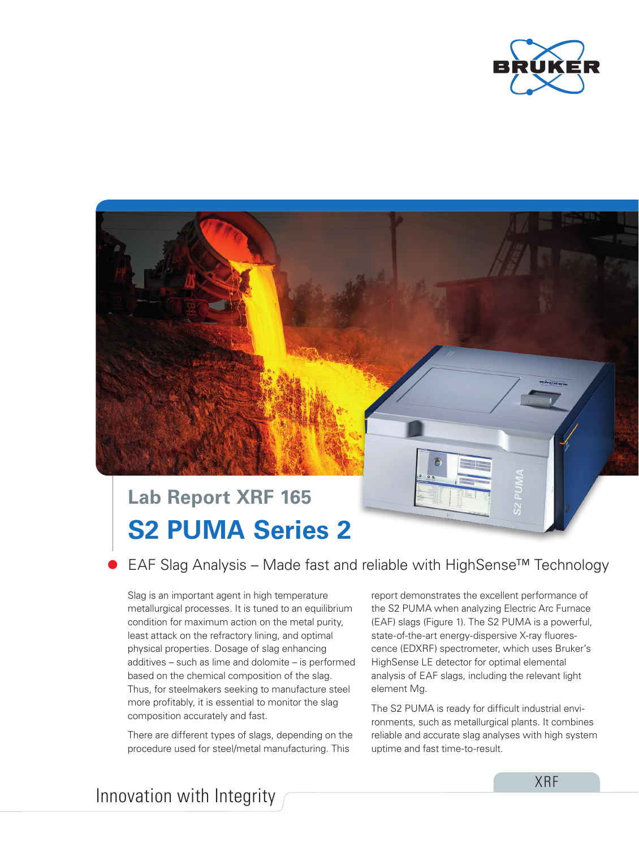



# **S2 PUMA Series 2**

EAF Slag Analysis – Made fast and reliable with HighSense™ Technology

Slag is an important agent in high temperature metallurgical processes. It is tuned to an equilibrium condition for maximum action on the metal purity, least attack on the refractory lining, and optimal physical properties. Dosage of slag enhancing additives – such as lime and dolomite – is performed based on the chemical composition of the slag. Thus, for steelmakers seeking to manufacture steel more profitably, it is essential to monitor the slag composition accurately and fast.

There are different types of slags, depending on the procedure used for steel/metal manufacturing. This

report demonstrates the excellent performance of the S2 PUMA when analyzing Electric Arc Furnace (EAF) slags (Figure 1). The S2 PUMA is a powerful, state-of-the-art energy-dispersive X-ray fluorescence (EDXRF) spectrometer, which uses Bruker's HighSense LE detector for optimal elemental analysis of EAF slags, including the relevant light element Mg.

The S2 PUMA is ready for difficult industrial environments, such as metallurgical plants. It combines reliable and accurate slag analyses with high system uptime and fast time-to-result.

Innovation with Integrity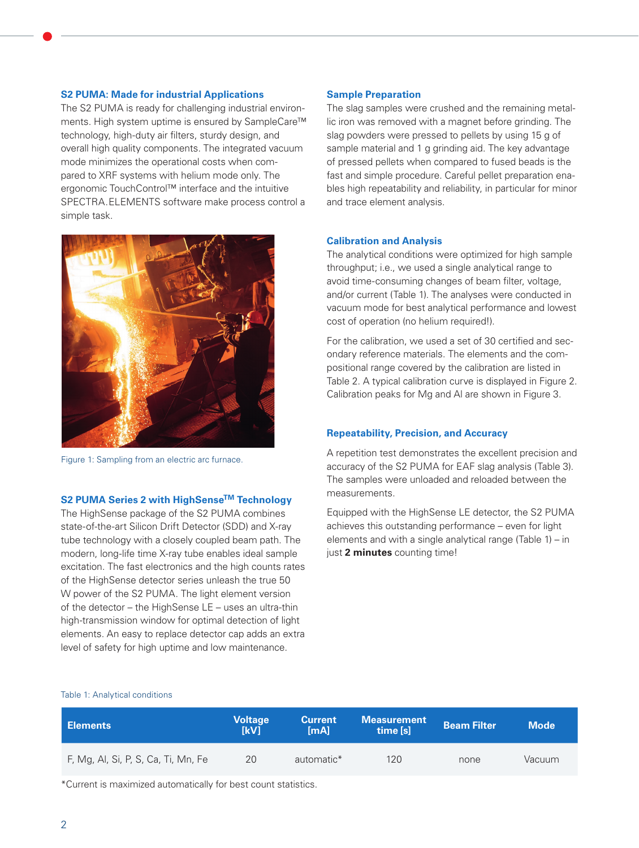#### **S2 PUMA: Made for industrial Applications**

The S2 PUMA is ready for challenging industrial environments. High system uptime is ensured by SampleCare™ technology, high-duty air filters, sturdy design, and overall high quality components. The integrated vacuum mode minimizes the operational costs when compared to XRF systems with helium mode only. The ergonomic TouchControl™ interface and the intuitive SPECTRA.ELEMENTS software make process control a simple task.



Figure 1: Sampling from an electric arc furnace.

### **S2 PUMA Series 2 with HighSenseTM Technology**

The HighSense package of the S2 PUMA combines state-of-the-art Silicon Drift Detector (SDD) and X-ray tube technology with a closely coupled beam path. The modern, long-life time X-ray tube enables ideal sample excitation. The fast electronics and the high counts rates of the HighSense detector series unleash the true 50 W power of the S2 PUMA. The light element version of the detector – the HighSense LE – uses an ultra-thin high-transmission window for optimal detection of light elements. An easy to replace detector cap adds an extra level of safety for high uptime and low maintenance.

#### **Sample Preparation**

The slag samples were crushed and the remaining metallic iron was removed with a magnet before grinding. The slag powders were pressed to pellets by using 15 g of sample material and 1 g grinding aid. The key advantage of pressed pellets when compared to fused beads is the fast and simple procedure. Careful pellet preparation enables high repeatability and reliability, in particular for minor and trace element analysis.

#### **Calibration and Analysis**

The analytical conditions were optimized for high sample throughput; i.e., we used a single analytical range to avoid time-consuming changes of beam filter, voltage, and/or current (Table 1). The analyses were conducted in vacuum mode for best analytical performance and lowest cost of operation (no helium required!).

For the calibration, we used a set of 30 certified and secondary reference materials. The elements and the compositional range covered by the calibration are listed in Table 2. A typical calibration curve is displayed in Figure 2. Calibration peaks for Mg and Al are shown in Figure 3.

#### **Repeatability, Precision, and Accuracy**

A repetition test demonstrates the excellent precision and accuracy of the S2 PUMA for EAF slag analysis (Table 3). The samples were unloaded and reloaded between the measurements.

Equipped with the HighSense LE detector, the S2 PUMA achieves this outstanding performance – even for light elements and with a single analytical range (Table 1) – in just **2 minutes** counting time!

#### Table 1: Analytical conditions

| <b>Elements</b>                     | Voltage<br><b>IkV1</b> | <b>Current</b><br>ImAl | <b>Measurement</b><br>time [s] | <b>Beam Filter</b> | <b>Mode</b> |
|-------------------------------------|------------------------|------------------------|--------------------------------|--------------------|-------------|
| F, Mg, Al, Si, P, S, Ca, Ti, Mn, Fe | 20                     | automatic*             | 120                            | none               | Vacuum      |

\*Current is maximized automatically for best count statistics.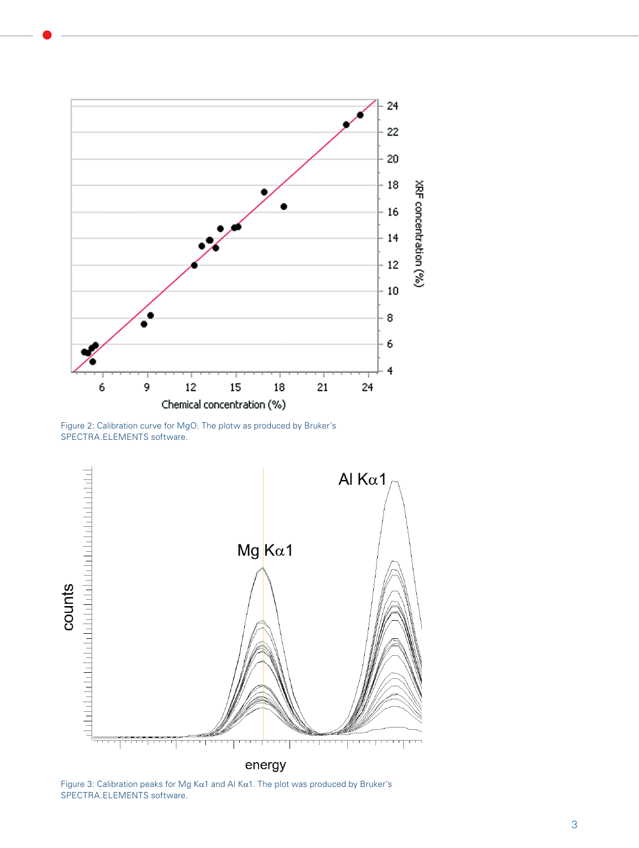

Figure 2: Calibration curve for MgO. The plotw as produced by Bruker's SPECTRA.ELEMENTS software.



Figure 3: Calibration peaks for Mg Kα1 and Al Kα1. The plot was produced by Bruker's SPECTRA.ELEMENTS software.